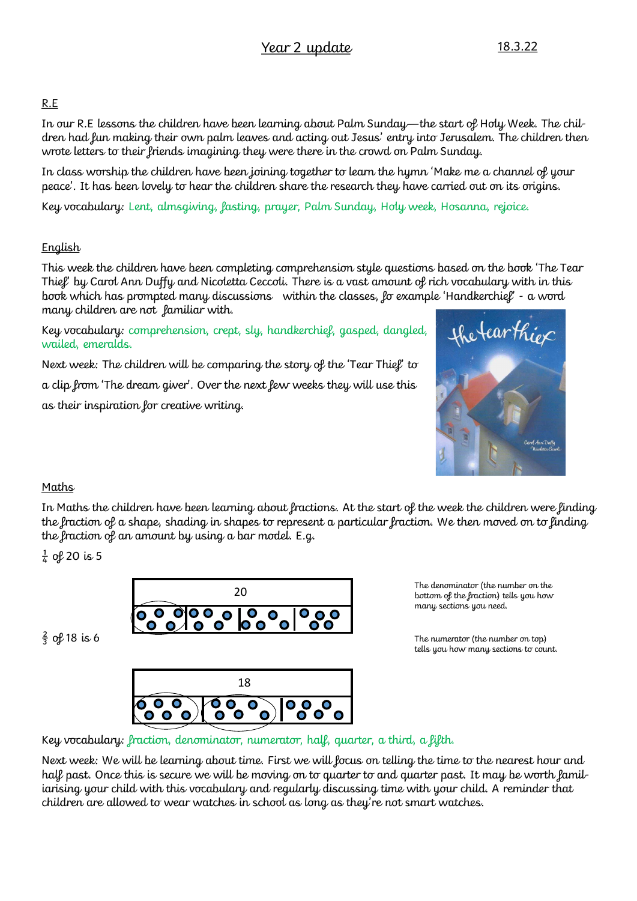## R.E

In our R.E lessons the children have been learning about Palm Sunday—the start of Holy Week. The children had fun making their own palm leaves and acting out Jesus' entry into Jerusalem. The children then wrote letters to their friends imagining they were there in the crowd on Palm Sunday.

In class worship the children have been joining together to learn the hymn 'Make me a channel of your peace'. It has been lovely to hear the children share the research they have carried out on its origins.

Key vocabulary: Lent, almsgiving, fasting, prayer, Palm Sunday, Holy week, Hosanna, rejoice.

### **English**

This week the children have been completing comprehension style questions based on the book 'The Tear Thief' by Carol Ann Duffy and Nicoletta Ceccoli. There is a vast amount of rich vocabulary with in this book which has prompted many discussions within the classes, fo example 'Handkerchief' - a word many children are not familiar with.

Key vocabulary: comprehension, crept, sly, handkerchief, gasped, dangled, wailed, emeralds.

Next week: The children will be comparing the story of the 'Tear Thief' to a clip from 'The dream giver'. Over the next few weeks they will use this as their inspiration for creative writing.



### Maths

In Maths the children have been learning about fractions. At the start of the week the children were finding the fraction of a shape, shading in shapes to represent a particular fraction. We then moved on to finding the fraction of an amount by using a bar model. E.g.

 $\frac{1}{4}$  of 20 is 5

 $rac{2}{3}$  of 18 is 6



18  $\bullet$ O O O  $\bullet$  $\bullet$ 

The denominator (the number on the bottom of the fraction) tells you how many sections you need.

The numerator (the number on top) tells you how many sections to count.

Key vocabulary: fraction, denominator, numerator, half, quarter, a third, a fifth.

Next week: We will be learning about time. First we will focus on telling the time to the nearest hour and half past. Once this is secure we will be moving on to quarter to and quarter past. It may be worth familiarising your child with this vocabulary and regularly discussing time with your child. A reminder that children are allowed to wear watches in school as long as they're not smart watches.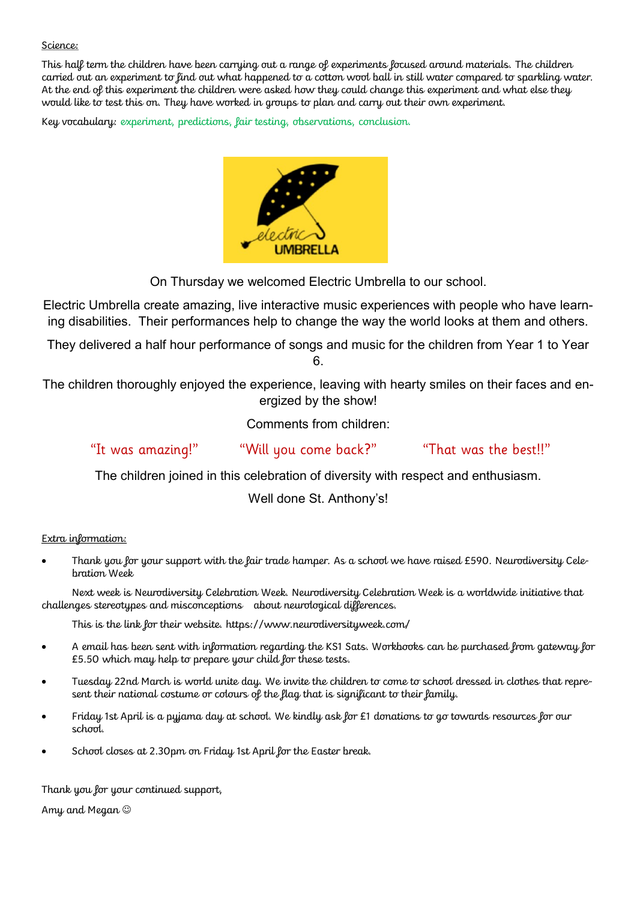#### Science:

This half term the children have been carrying out a range of experiments focused around materials. The children carried out an experiment to find out what happened to a cotton wool ball in still water compared to sparkling water. At the end of this experiment the children were asked how they could change this experiment and what else they would like to test this on. They have worked in groups to plan and carry out their own experiment.

Key vocabulary: experiment, predictions, fair testing, observations, conclusion.



On Thursday we welcomed Electric Umbrella to our school.

Electric Umbrella create amazing, live interactive music experiences with people who have learning disabilities. Their performances help to change the way the world looks at them and others.

They delivered a half hour performance of songs and music for the children from Year 1 to Year 6.

The children thoroughly enjoyed the experience, leaving with hearty smiles on their faces and energized by the show!

Comments from children:

"It was amazing!" "Will you come back?" "That was the best!!"

The children joined in this celebration of diversity with respect and enthusiasm.

Well done St. Anthony's!

Extra information:

 Thank you for your support with the fair trade hamper. As a school we have raised £590. Neurodiversity Celebration Week

Next week is Neurodiversity Celebration Week. Neurodiversity Celebration Week is a worldwide initiative that challenges stereotypes and misconceptions about neurological differences.

This is the link for their website. https://www.neurodiversityweek.com/

- A email has been sent with information regarding the KS1 Sats. Workbooks can be purchased from gateway for £5.50 which may help to prepare your child for these tests.
- Tuesday 22nd March is world unite day. We invite the children to come to school dressed in clothes that represent their national costume or colours of the flag that is significant to their family.
- Friday 1st April is a pyjama day at school. We kindly ask for £1 donations to go towards resources for our school.
- School closes at 2.30pm on Friday 1st April for the Easter break.

Thank you for your continued support,

Amy and Megan